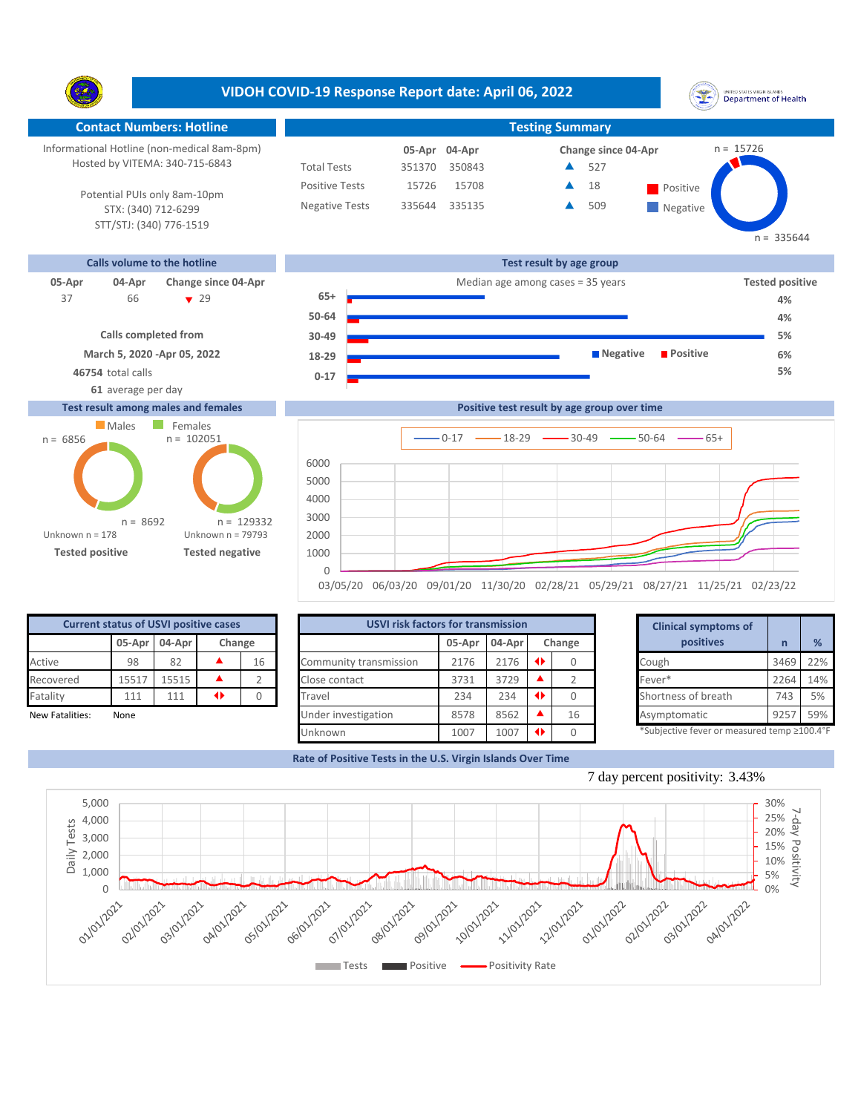**VIDOH COVID-19 Response Report date: April 06, 2022** UNITED STATES VIRGIN SLANDS<br>Department of Health Y. **Contact Numbers: Hotline Testing Summary** Informational Hotline (non-medical 8am-8pm) n = 15726 **04-Apr 05-Apr Change since 04-Apr** Hosted by VITEMA: 340-715-6843 Total Tests 351370 350843 527 ▲ Positive Tests 15708 **A** 18 **Positive** 15726  $\blacktriangle$ 18 Potential PUIs only 8am-10pm Negative Tests 335644 335135 A 509 ▲ **Negative** STX: (340) 712-6299 STT/STJ: (340) 776-1519 **Calls volume to the hotline Test result by age group 05-Apr 04-Apr Change since 04-Apr Change since 04-Apr Change and Change among cases = 35 years Tested positive 65+** 66 29 37 **4%**



## **Test result among males and females**





| <b>Current status of USVI positive cases</b> |                         |       |  |    |  |  |  |  |  |  |  |  |
|----------------------------------------------|-------------------------|-------|--|----|--|--|--|--|--|--|--|--|
|                                              | 05-Apr 04-Apr<br>Change |       |  |    |  |  |  |  |  |  |  |  |
| Active                                       | 98                      | 82    |  | 16 |  |  |  |  |  |  |  |  |
| Recovered                                    | 15517                   | 15515 |  |    |  |  |  |  |  |  |  |  |
| Fatality                                     | 111                     | 111   |  |    |  |  |  |  |  |  |  |  |
| Nou Fatalitica                               | <b>None</b>             |       |  |    |  |  |  |  |  |  |  |  |

|                 | <b>Current status of USVI positive cases</b> |               |    |        | <b>USVI risk factors for transmission</b> |        |        |        | <b>Clinical symptoms of</b>                |      |     |  |
|-----------------|----------------------------------------------|---------------|----|--------|-------------------------------------------|--------|--------|--------|--------------------------------------------|------|-----|--|
|                 |                                              | 05-Apr 04-Apr |    | Change |                                           | 05-Apr | 04-Apr | Change | positives                                  |      | %   |  |
| Active          | 98                                           | 82            |    | 16     | Community transmission                    | 2176   | 2176   |        | Cough                                      | 3469 | 22% |  |
| Recovered       | 15517                                        | 15515         |    |        | Close contact                             | 3731   | 3729   |        | Fever*                                     | 2264 | 14% |  |
| Fatality        | 111                                          | 111           | 41 |        | Travel                                    | 234    | 234    |        | Shortness of breath                        | 743  | 5%  |  |
| New Fatalities: | None                                         |               |    |        | Under investigation                       | 8578   | 8562   | 16     | Asymptomatic                               | 925  | 59% |  |
|                 |                                              |               |    |        | Unknown                                   | 1007   | 1007   |        | *Subjective fever or measured temp ≥100.4° |      |     |  |

|        | for transmission |                 |        | <b>Clinical symptoms of</b>                 |      |     |
|--------|------------------|-----------------|--------|---------------------------------------------|------|-----|
| 05-Apr | 04-Apr           |                 | Change | positives                                   | n    | %   |
| 2176   | 2176             | $\blacklozenge$ | 0      | Cough                                       | 3469 | 22% |
| 3731   | 3729             |                 | 2      | Fever*                                      | 2264 | 14% |
| 234    | 234              | ◆               | 0      | Shortness of breath                         | 743  | 5%  |
| 8578   | 8562             |                 | 16     | Asymptomatic                                | 9257 | 59% |
| 1007   | 1007             |                 |        | *Subjective fever or measured temp >100.4°F |      |     |

**4% 5% 6%**

 $n = 335644$ 

**Rate of Positive Tests in the U.S. Virgin Islands Over Time**